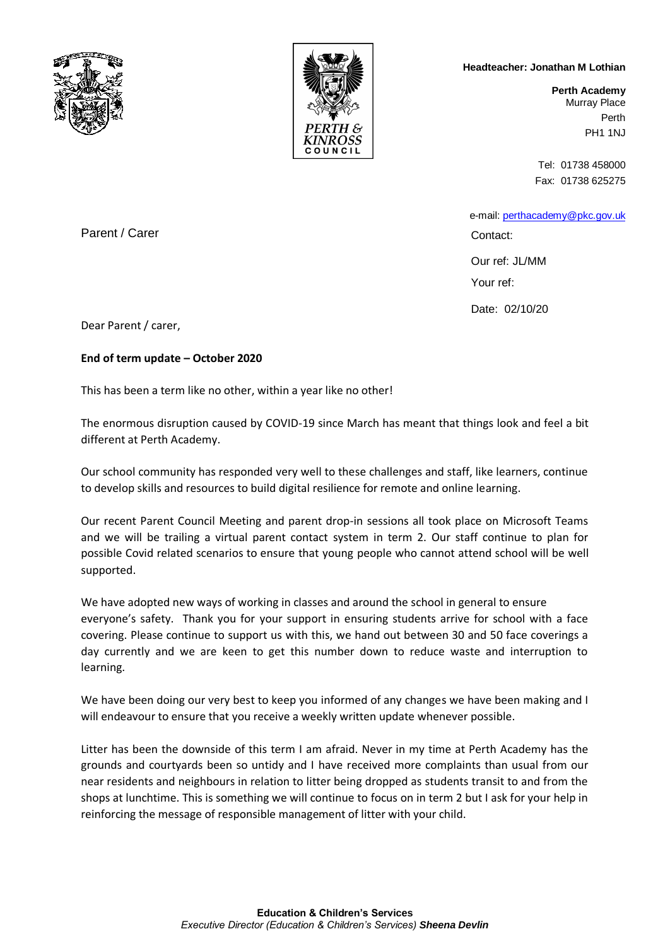



## **Headteacher: Jonathan M Lothian**

**Perth Academy** Murray Place Perth PH1 1NJ

Tel: 01738 458000 Fax: 01738 625275

 e-mail: [perthacademy@pkc.gov.uk](mailto:perthacademy@pkc.gov.uk) Contact:

Our ref: JL/MM Your ref:

Date: 02/10/20

Parent / Carer

Dear Parent / carer,

**End of term update – October 2020**

This has been a term like no other, within a year like no other!

The enormous disruption caused by COVID-19 since March has meant that things look and feel a bit different at Perth Academy.

Our school community has responded very well to these challenges and staff, like learners, continue to develop skills and resources to build digital resilience for remote and online learning.

Our recent Parent Council Meeting and parent drop-in sessions all took place on Microsoft Teams and we will be trailing a virtual parent contact system in term 2. Our staff continue to plan for possible Covid related scenarios to ensure that young people who cannot attend school will be well supported.

We have adopted new ways of working in classes and around the school in general to ensure everyone's safety. Thank you for your support in ensuring students arrive for school with a face covering. Please continue to support us with this, we hand out between 30 and 50 face coverings a day currently and we are keen to get this number down to reduce waste and interruption to learning.

We have been doing our very best to keep you informed of any changes we have been making and I will endeavour to ensure that you receive a weekly written update whenever possible.

Litter has been the downside of this term I am afraid. Never in my time at Perth Academy has the grounds and courtyards been so untidy and I have received more complaints than usual from our near residents and neighbours in relation to litter being dropped as students transit to and from the shops at lunchtime. This is something we will continue to focus on in term 2 but I ask for your help in reinforcing the message of responsible management of litter with your child.